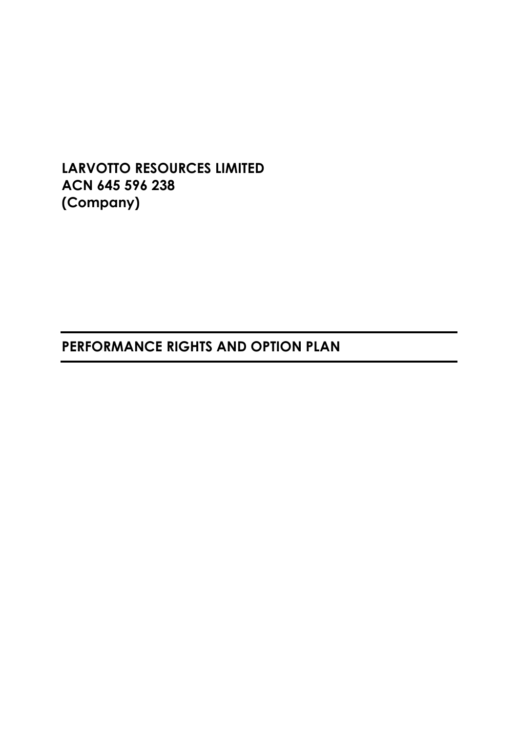**LARVOTTO RESOURCES LIMITED ACN 645 596 238 (Company)**

# **PERFORMANCE RIGHTS AND OPTION PLAN**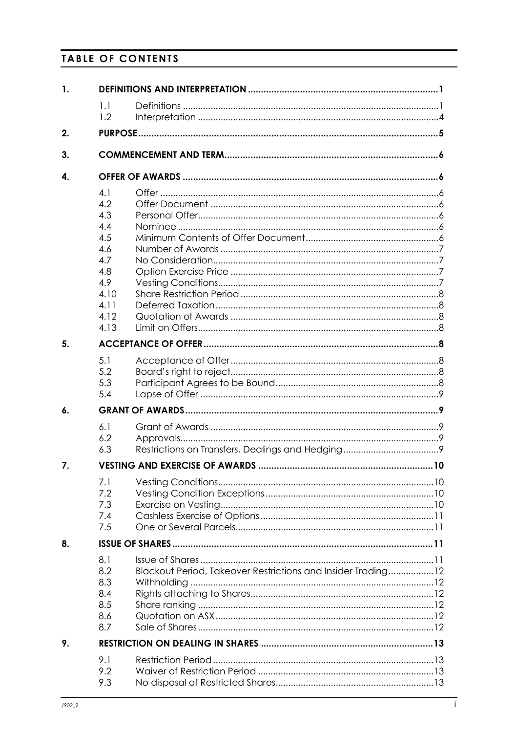# **TABLE OF CONTENTS**

| $\mathbf{1}$ . |                                                                                             |                                                              |  |  |  |
|----------------|---------------------------------------------------------------------------------------------|--------------------------------------------------------------|--|--|--|
|                | 1.1                                                                                         |                                                              |  |  |  |
|                | 1.2                                                                                         |                                                              |  |  |  |
| 2.             |                                                                                             |                                                              |  |  |  |
| 3.             |                                                                                             |                                                              |  |  |  |
| 4.             |                                                                                             |                                                              |  |  |  |
|                | 4.1<br>4.2<br>4.3<br>4.4<br>4.5<br>4.6<br>4.7<br>4.8<br>4.9<br>4.10<br>4.11<br>4.12<br>4.13 |                                                              |  |  |  |
| 5.             |                                                                                             |                                                              |  |  |  |
|                | 5.1<br>5.2<br>5.3<br>5.4                                                                    |                                                              |  |  |  |
| 6.             |                                                                                             |                                                              |  |  |  |
|                | 6.1<br>6.2<br>6.3                                                                           |                                                              |  |  |  |
| 7.             |                                                                                             |                                                              |  |  |  |
|                | 7.1<br>7.2<br>7.3<br>7.4<br>7.5                                                             |                                                              |  |  |  |
| 8.             |                                                                                             |                                                              |  |  |  |
|                | 8.1<br>8.2<br>8.3<br>8.4<br>8.5<br>8.6<br>8.7                                               | Blackout Period, Takeover Restrictions and Insider Trading12 |  |  |  |
| 9.             |                                                                                             |                                                              |  |  |  |
|                | 9.1<br>9.2<br>9.3                                                                           |                                                              |  |  |  |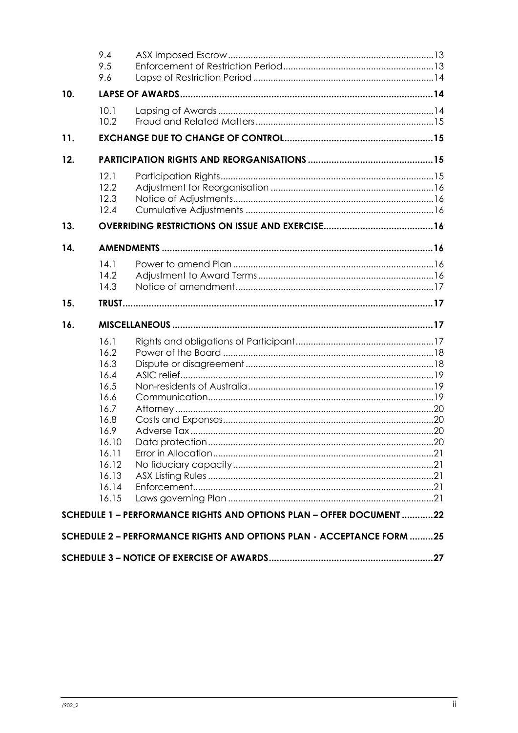|     | 9.4<br>9.5<br>9.6                                                                                                          |                                                                       |  |  |  |
|-----|----------------------------------------------------------------------------------------------------------------------------|-----------------------------------------------------------------------|--|--|--|
| 10. |                                                                                                                            |                                                                       |  |  |  |
|     | 10.1<br>10.2                                                                                                               |                                                                       |  |  |  |
| 11. |                                                                                                                            |                                                                       |  |  |  |
| 12. |                                                                                                                            |                                                                       |  |  |  |
|     | 12.1<br>12.2<br>12.3<br>12.4                                                                                               |                                                                       |  |  |  |
| 13. |                                                                                                                            |                                                                       |  |  |  |
| 14. |                                                                                                                            |                                                                       |  |  |  |
|     | 14.1<br>14.2<br>14.3                                                                                                       |                                                                       |  |  |  |
| 15. |                                                                                                                            |                                                                       |  |  |  |
| 16. |                                                                                                                            |                                                                       |  |  |  |
|     | 16.1<br>16.2<br>16.3<br>16.4<br>16.5<br>16.6<br>16.7<br>16.8<br>16.9<br>16.10<br>16.11<br>16.12<br>16.13<br>16.14<br>16.15 | SCHEDULE 1 - PERFORMANCE RIGHTS AND OPTIONS PLAN - OFFER DOCUMENT 22  |  |  |  |
|     |                                                                                                                            | SCHEDULE 2 - PERFORMANCE RIGHTS AND OPTIONS PLAN - ACCEPTANCE FORM 25 |  |  |  |
|     |                                                                                                                            |                                                                       |  |  |  |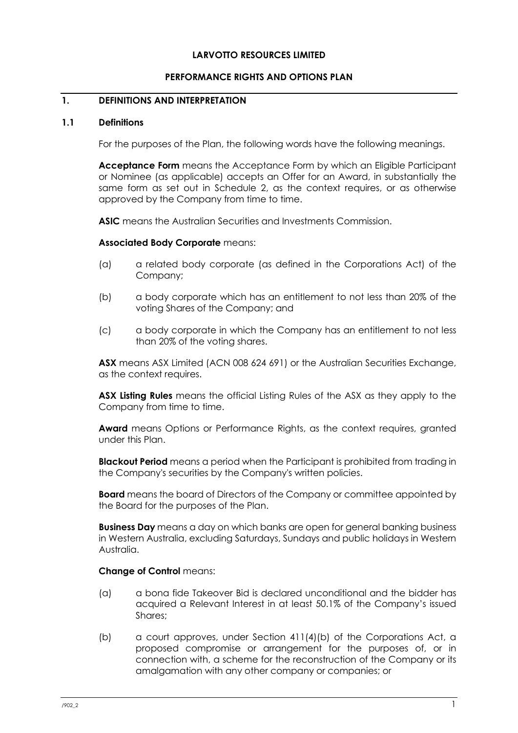#### **LARVOTTO RESOURCES LIMITED**

#### **PERFORMANCE RIGHTS AND OPTIONS PLAN**

#### <span id="page-3-0"></span>**1. DEFINITIONS AND INTERPRETATION**

#### <span id="page-3-1"></span>**1.1 Definitions**

For the purposes of the Plan, the following words have the following meanings.

**Acceptance Form** means the Acceptance Form by which an Eligible Participant or Nominee (as applicable) accepts an Offer for an Award, in substantially the same form as set out in Schedule 2, as the context requires, or as otherwise approved by the Company from time to time.

**ASIC** means the Australian Securities and Investments Commission.

#### **Associated Body Corporate** means:

- (a) a related body corporate (as defined in the Corporations Act) of the Company;
- (b) a body corporate which has an entitlement to not less than 20% of the voting Shares of the Company; and
- (c) a body corporate in which the Company has an entitlement to not less than 20% of the voting shares.

**ASX** means ASX Limited (ACN 008 624 691) or the Australian Securities Exchange, as the context requires.

**ASX Listing Rules** means the official Listing Rules of the ASX as they apply to the Company from time to time.

**Award** means Options or Performance Rights, as the context requires, granted under this Plan.

**Blackout Period** means a period when the Participant is prohibited from trading in the Company's securities by the Company's written policies.

**Board** means the board of Directors of the Company or committee appointed by the Board for the purposes of the Plan.

**Business Day** means a day on which banks are open for general banking business in Western Australia, excluding Saturdays, Sundays and public holidays in Western Australia.

#### **Change of Control means:**

- (a) a bona fide Takeover Bid is declared unconditional and the bidder has acquired a Relevant Interest in at least 50.1% of the Company's issued Shares;
- (b) a court approves, under Section 411(4)(b) of the Corporations Act, a proposed compromise or arrangement for the purposes of, or in connection with, a scheme for the reconstruction of the Company or its amalgamation with any other company or companies; or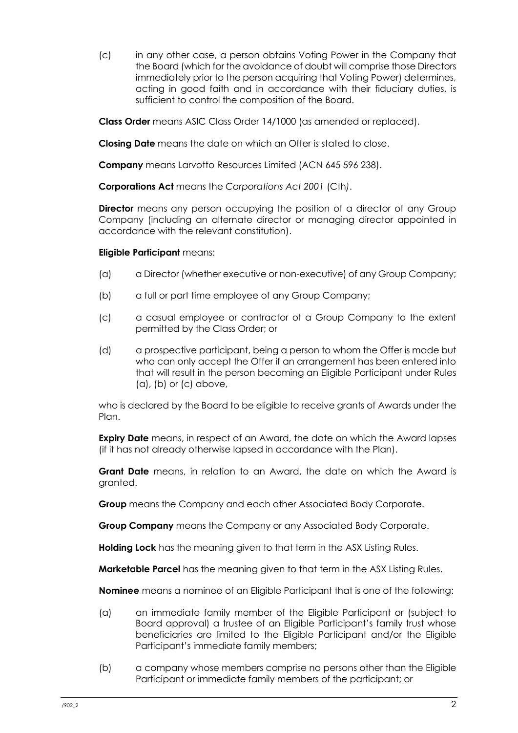(c) in any other case, a person obtains Voting Power in the Company that the Board (which for the avoidance of doubt will comprise those Directors immediately prior to the person acquiring that Voting Power) determines, acting in good faith and in accordance with their fiduciary duties, is sufficient to control the composition of the Board.

**Class Order** means ASIC Class Order 14/1000 (as amended or replaced).

**Closing Date** means the date on which an Offer is stated to close.

**Company** means Larvotto Resources Limited (ACN 645 596 238).

**Corporations Act** means the *Corporations Act 2001* (Cth*)*.

**Director** means any person occupying the position of a director of any Group Company (including an alternate director or managing director appointed in accordance with the relevant constitution).

#### **Eligible Participant** means:

- (a) a Director (whether executive or non-executive) of any Group Company;
- (b) a full or part time employee of any Group Company;
- (c) a casual employee or contractor of a Group Company to the extent permitted by the Class Order; or
- (d) a prospective participant, being a person to whom the Offer is made but who can only accept the Offer if an arrangement has been entered into that will result in the person becoming an Eligible Participant under Rules (a), (b) or (c) above,

who is declared by the Board to be eligible to receive grants of Awards under the Plan.

**Expiry Date** means, in respect of an Award, the date on which the Award lapses (if it has not already otherwise lapsed in accordance with the Plan).

**Grant Date** means, in relation to an Award, the date on which the Award is granted.

**Group** means the Company and each other Associated Body Corporate.

**Group Company** means the Company or any Associated Body Corporate.

**Holding Lock** has the meaning given to that term in the ASX Listing Rules.

**Marketable Parcel** has the meaning given to that term in the ASX Listing Rules.

**Nominee** means a nominee of an Eligible Participant that is one of the following:

- (a) an immediate family member of the Eligible Participant or (subject to Board approval) a trustee of an Eligible Participant's family trust whose beneficiaries are limited to the Eligible Participant and/or the Eligible Participant's immediate family members;
- (b) a company whose members comprise no persons other than the Eligible Participant or immediate family members of the participant; or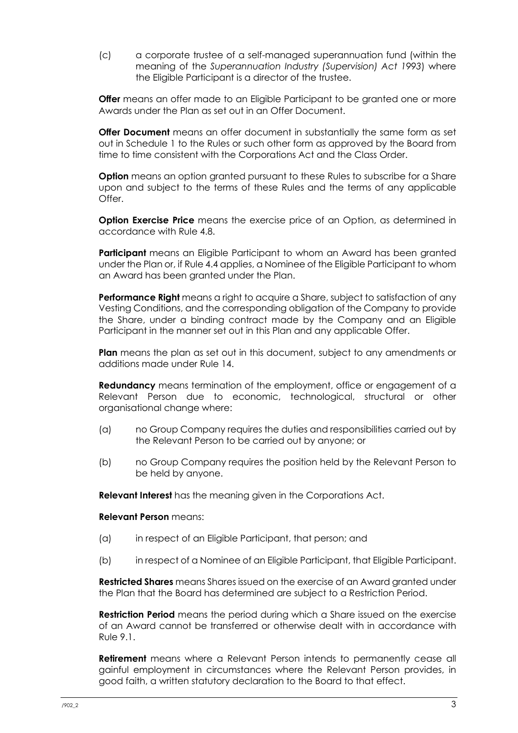(c) a corporate trustee of a self-managed superannuation fund (within the meaning of the *Superannuation Industry (Supervision) Act 1993*) where the Eligible Participant is a director of the trustee.

**Offer** means an offer made to an Eligible Participant to be granted one or more Awards under the Plan as set out in an Offer Document.

**Offer Document** means an offer document in substantially the same form as set out in Schedule 1 to the Rules or such other form as approved by the Board from time to time consistent with the Corporations Act and the Class Order.

**Option** means an option granted pursuant to these Rules to subscribe for a Share upon and subject to the terms of these Rules and the terms of any applicable  $O$ ffer

**Option Exercise Price** means the exercise price of an Option, as determined in accordance with Rule [4.8.](#page-9-2)

**Participant** means an Eligible Participant to whom an Award has been granted under the Plan or, if Rule [4.4](#page-8-5) applies, a Nominee of the Eligible Participant to whom an Award has been granted under the Plan.

**Performance Right** means a right to acquire a Share, subject to satisfaction of any Vesting Conditions, and the corresponding obligation of the Company to provide the Share, under a binding contract made by the Company and an Eligible Participant in the manner set out in this Plan and any applicable Offer.

**Plan** means the plan as set out in this document, subject to any amendments or additions made under Rule [14.](#page-18-4)

**Redundancy** means termination of the employment, office or engagement of a Relevant Person due to economic, technological, structural or other organisational change where:

- (a) no Group Company requires the duties and responsibilities carried out by the Relevant Person to be carried out by anyone; or
- (b) no Group Company requires the position held by the Relevant Person to be held by anyone.

**Relevant Interest** has the meaning given in the Corporations Act.

#### **Relevant Person** means:

- (a) in respect of an Eligible Participant, that person; and
- (b) in respect of a Nominee of an Eligible Participant, that Eligible Participant.

**Restricted Shares** means Shares issued on the exercise of an Award granted under the Plan that the Board has determined are subject to a Restriction Period.

**Restriction Period** means the period during which a Share issued on the exercise of an Award cannot be transferred or otherwise dealt with in accordance with Rule [9.1.](#page-15-1)

**Retirement** means where a Relevant Person intends to permanently cease all gainful employment in circumstances where the Relevant Person provides, in good faith, a written statutory declaration to the Board to that effect.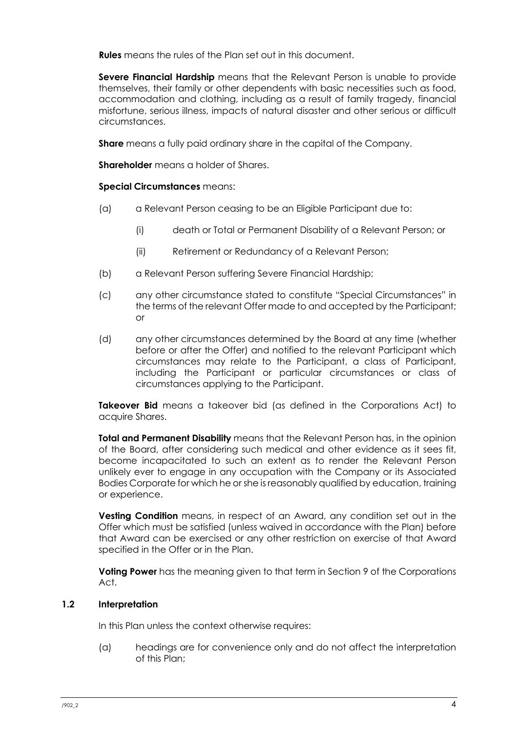**Rules** means the rules of the Plan set out in this document.

**Severe Financial Hardship** means that the Relevant Person is unable to provide themselves, their family or other dependents with basic necessities such as food, accommodation and clothing, including as a result of family tragedy, financial misfortune, serious illness, impacts of natural disaster and other serious or difficult circumstances.

**Share** means a fully paid ordinary share in the capital of the Company.

**Shareholder** means a holder of Shares.

#### **Special Circumstances** means:

- (a) a Relevant Person ceasing to be an Eligible Participant due to:
	- (i) death or Total or Permanent Disability of a Relevant Person; or
	- (ii) Retirement or Redundancy of a Relevant Person;
- (b) a Relevant Person suffering Severe Financial Hardship;
- (c) any other circumstance stated to constitute "Special Circumstances" in the terms of the relevant Offer made to and accepted by the Participant; or
- (d) any other circumstances determined by the Board at any time (whether before or after the Offer) and notified to the relevant Participant which circumstances may relate to the Participant, a class of Participant, including the Participant or particular circumstances or class of circumstances applying to the Participant.

**Takeover Bid** means a takeover bid (as defined in the Corporations Act) to acquire Shares.

**Total and Permanent Disability** means that the Relevant Person has, in the opinion of the Board, after considering such medical and other evidence as it sees fit, become incapacitated to such an extent as to render the Relevant Person unlikely ever to engage in any occupation with the Company or its Associated Bodies Corporate for which he or she is reasonably qualified by education, training or experience.

**Vesting Condition** means, in respect of an Award, any condition set out in the Offer which must be satisfied (unless waived in accordance with the Plan) before that Award can be exercised or any other restriction on exercise of that Award specified in the Offer or in the Plan.

**Voting Power** has the meaning given to that term in Section 9 of the Corporations Act.

#### <span id="page-6-0"></span>**1.2 Interpretation**

In this Plan unless the context otherwise requires:

(a) headings are for convenience only and do not affect the interpretation of this Plan;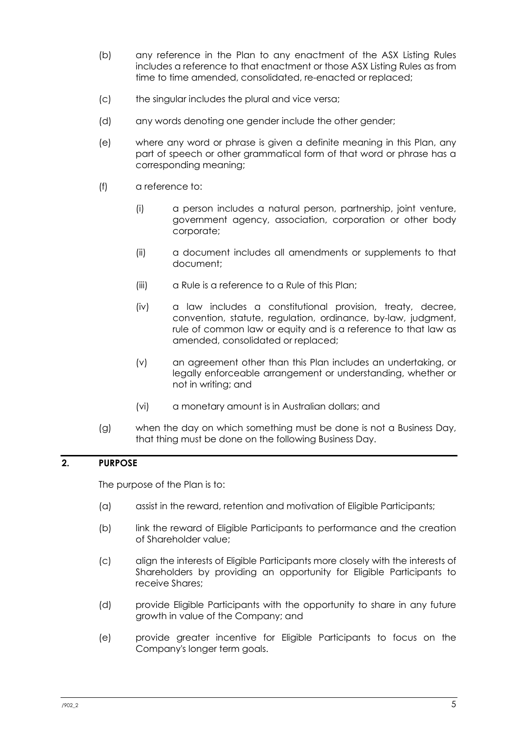- (b) any reference in the Plan to any enactment of the ASX Listing Rules includes a reference to that enactment or those ASX Listing Rules as from time to time amended, consolidated, re-enacted or replaced;
- (c) the singular includes the plural and vice versa;
- (d) any words denoting one gender include the other gender;
- (e) where any word or phrase is given a definite meaning in this Plan, any part of speech or other grammatical form of that word or phrase has a corresponding meaning;
- (f) a reference to:
	- (i) a person includes a natural person, partnership, joint venture, government agency, association, corporation or other body corporate;
	- (ii) a document includes all amendments or supplements to that document;
	- (iii) a Rule is a reference to a Rule of this Plan;
	- (iv) a law includes a constitutional provision, treaty, decree, convention, statute, regulation, ordinance, by-law, judgment, rule of common law or equity and is a reference to that law as amended, consolidated or replaced;
	- (v) an agreement other than this Plan includes an undertaking, or legally enforceable arrangement or understanding, whether or not in writing; and
	- (vi) a monetary amount is in Australian dollars; and
- (g) when the day on which something must be done is not a Business Day, that thing must be done on the following Business Day.

## <span id="page-7-0"></span>**2. PURPOSE**

The purpose of the Plan is to:

- (a) assist in the reward, retention and motivation of Eligible Participants;
- (b) link the reward of Eligible Participants to performance and the creation of Shareholder value;
- (c) align the interests of Eligible Participants more closely with the interests of Shareholders by providing an opportunity for Eligible Participants to receive Shares;
- (d) provide Eligible Participants with the opportunity to share in any future growth in value of the Company; and
- (e) provide greater incentive for Eligible Participants to focus on the Company's longer term goals.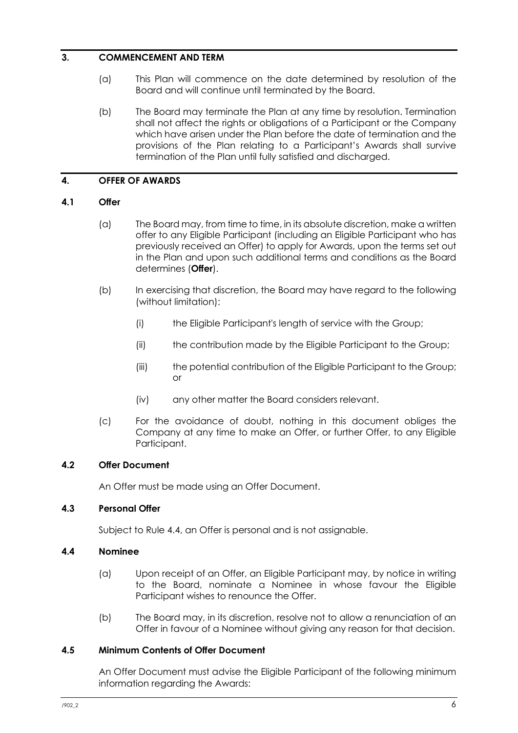#### <span id="page-8-0"></span>**3. COMMENCEMENT AND TERM**

- (a) This Plan will commence on the date determined by resolution of the Board and will continue until terminated by the Board.
- (b) The Board may terminate the Plan at any time by resolution. Termination shall not affect the rights or obligations of a Participant or the Company which have arisen under the Plan before the date of termination and the provisions of the Plan relating to a Participant's Awards shall survive termination of the Plan until fully satisfied and discharged.

#### <span id="page-8-1"></span>**4. OFFER OF AWARDS**

#### <span id="page-8-2"></span>**4.1 Offer**

- (a) The Board may, from time to time, in its absolute discretion, make a written offer to any Eligible Participant (including an Eligible Participant who has previously received an Offer) to apply for Awards, upon the terms set out in the Plan and upon such additional terms and conditions as the Board determines (**Offer**).
- (b) In exercising that discretion, the Board may have regard to the following (without limitation):
	- (i) the Eligible Participant's length of service with the Group;
	- (ii) the contribution made by the Eligible Participant to the Group;
	- (iii) the potential contribution of the Eligible Participant to the Group; or
	- (iv) any other matter the Board considers relevant.
- (c) For the avoidance of doubt, nothing in this document obliges the Company at any time to make an Offer, or further Offer, to any Eligible Participant.

## <span id="page-8-3"></span>**4.2 Offer Document**

An Offer must be made using an Offer Document.

#### <span id="page-8-4"></span>**4.3 Personal Offer**

Subject to Rule 4.4, an Offer is personal and is not assignable.

#### <span id="page-8-5"></span>**4.4 Nominee**

- (a) Upon receipt of an Offer, an Eligible Participant may, by notice in writing to the Board, nominate a Nominee in whose favour the Eligible Participant wishes to renounce the Offer.
- (b) The Board may, in its discretion, resolve not to allow a renunciation of an Offer in favour of a Nominee without giving any reason for that decision.

#### <span id="page-8-6"></span>**4.5 Minimum Contents of Offer Document**

An Offer Document must advise the Eligible Participant of the following minimum information regarding the Awards: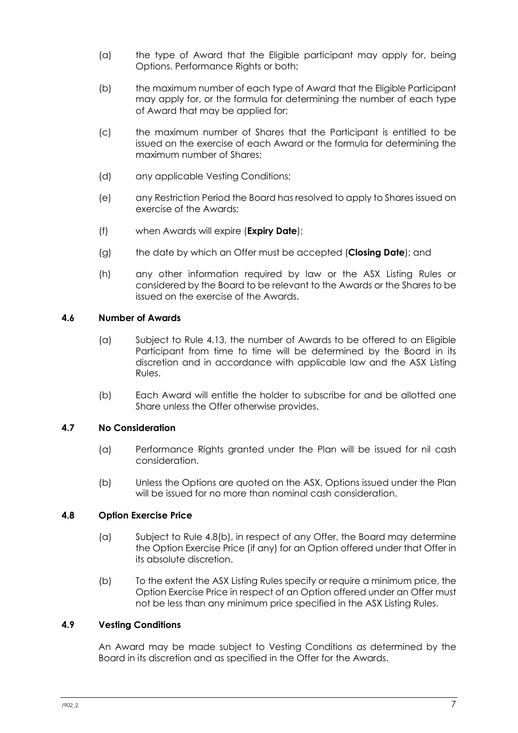- (a) the type of Award that the Eligible participant may apply for, being Options, Performance Rights or both;
- (b) the maximum number of each type of Award that the Eligible Participant may apply for, or the formula for determining the number of each type of Award that may be applied for;
- (c) the maximum number of Shares that the Participant is entitled to be issued on the exercise of each Award or the formula for determining the maximum number of Shares;
- (d) any applicable Vesting Conditions;
- (e) any Restriction Period the Board has resolved to apply to Shares issued on exercise of the Awards;
- (f) when Awards will expire (**Expiry Date**);
- (g) the date by which an Offer must be accepted (**Closing Date**); and
- (h) any other information required by law or the ASX Listing Rules or considered by the Board to be relevant to the Awards or the Shares to be issued on the exercise of the Awards.

#### <span id="page-9-0"></span>**4.6 Number of Awards**

- (a) Subject to Rule [4.13,](#page-10-3) the number of Awards to be offered to an Eligible Participant from time to time will be determined by the Board in its discretion and in accordance with applicable law and the ASX Listing Rules.
- (b) Each Award will entitle the holder to subscribe for and be allotted one Share unless the Offer otherwise provides.

#### <span id="page-9-1"></span>**4.7 No Consideration**

- (a) Performance Rights granted under the Plan will be issued for nil cash consideration.
- (b) Unless the Options are quoted on the ASX, Options issued under the Plan will be issued for no more than nominal cash consideration.

#### <span id="page-9-2"></span>**4.8 Option Exercise Price**

- (a) Subject to Rule 4.8(b), in respect of any Offer, the Board may determine the Option Exercise Price (if any) for an Option offered under that Offer in its absolute discretion.
- (b) To the extent the ASX Listing Rules specify or require a minimum price, the Option Exercise Price in respect of an Option offered under an Offer must not be less than any minimum price specified in the ASX Listing Rules.

#### <span id="page-9-3"></span>**4.9 Vesting Conditions**

An Award may be made subject to Vesting Conditions as determined by the Board in its discretion and as specified in the Offer for the Awards.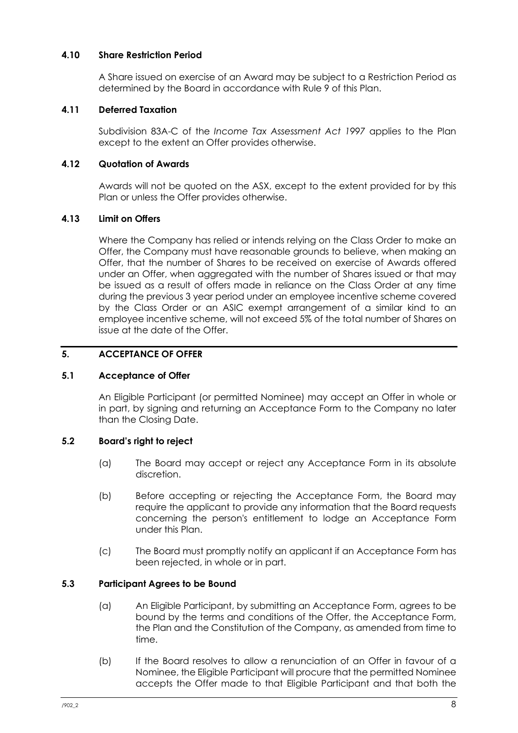#### <span id="page-10-0"></span>**4.10 Share Restriction Period**

A Share issued on exercise of an Award may be subject to a Restriction Period as determined by the Board in accordance with Rule [9](#page-15-0) of this Plan.

#### <span id="page-10-1"></span>**4.11 Deferred Taxation**

Subdivision 83A-C of the *Income Tax Assessment Act 1997* applies to the Plan except to the extent an Offer provides otherwise.

#### <span id="page-10-2"></span>**4.12 Quotation of Awards**

Awards will not be quoted on the ASX, except to the extent provided for by this Plan or unless the Offer provides otherwise.

#### <span id="page-10-3"></span>**4.13 Limit on Offers**

Where the Company has relied or intends relying on the Class Order to make an Offer, the Company must have reasonable grounds to believe, when making an Offer, that the number of Shares to be received on exercise of Awards offered under an Offer, when aggregated with the number of Shares issued or that may be issued as a result of offers made in reliance on the Class Order at any time during the previous 3 year period under an employee incentive scheme covered by the Class Order or an ASIC exempt arrangement of a similar kind to an employee incentive scheme, will not exceed 5% of the total number of Shares on issue at the date of the Offer.

#### <span id="page-10-4"></span>**5. ACCEPTANCE OF OFFER**

#### <span id="page-10-5"></span>**5.1 Acceptance of Offer**

An Eligible Participant (or permitted Nominee) may accept an Offer in whole or in part, by signing and returning an Acceptance Form to the Company no later than the Closing Date.

## <span id="page-10-6"></span>**5.2 Board's right to reject**

- (a) The Board may accept or reject any Acceptance Form in its absolute discretion.
- (b) Before accepting or rejecting the Acceptance Form, the Board may require the applicant to provide any information that the Board requests concerning the person's entitlement to lodge an Acceptance Form under this Plan.
- (c) The Board must promptly notify an applicant if an Acceptance Form has been rejected, in whole or in part.

#### <span id="page-10-7"></span>**5.3 Participant Agrees to be Bound**

- (a) An Eligible Participant, by submitting an Acceptance Form, agrees to be bound by the terms and conditions of the Offer, the Acceptance Form, the Plan and the Constitution of the Company, as amended from time to time.
- (b) If the Board resolves to allow a renunciation of an Offer in favour of a Nominee, the Eligible Participant will procure that the permitted Nominee accepts the Offer made to that Eligible Participant and that both the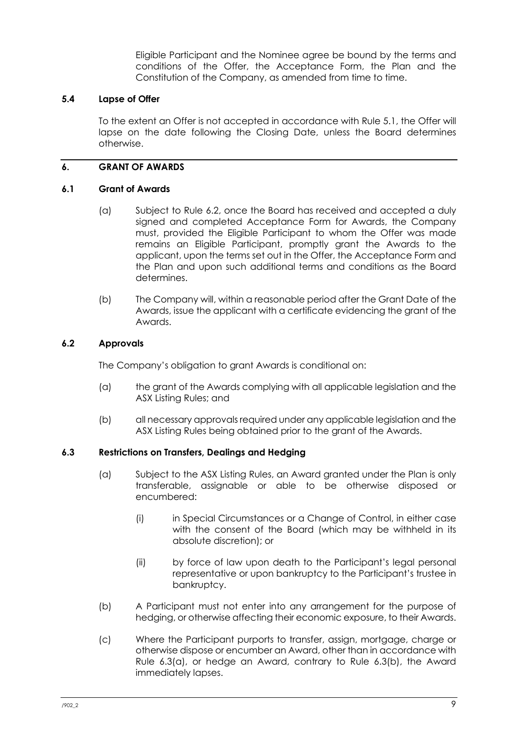Eligible Participant and the Nominee agree be bound by the terms and conditions of the Offer, the Acceptance Form, the Plan and the Constitution of the Company, as amended from time to time.

#### <span id="page-11-0"></span>**5.4 Lapse of Offer**

To the extent an Offer is not accepted in accordance with Rule 5.1, the Offer will lapse on the date following the Closing Date, unless the Board determines otherwise.

#### <span id="page-11-1"></span>**6. GRANT OF AWARDS**

#### <span id="page-11-2"></span>**6.1 Grant of Awards**

- (a) Subject to Rule 6.2, once the Board has received and accepted a duly signed and completed Acceptance Form for Awards, the Company must, provided the Eligible Participant to whom the Offer was made remains an Eligible Participant, promptly grant the Awards to the applicant, upon the terms set out in the Offer, the Acceptance Form and the Plan and upon such additional terms and conditions as the Board determines.
- (b) The Company will, within a reasonable period after the Grant Date of the Awards, issue the applicant with a certificate evidencing the grant of the Awards.

#### <span id="page-11-3"></span>**6.2 Approvals**

The Company's obligation to grant Awards is conditional on:

- (a) the grant of the Awards complying with all applicable legislation and the ASX Listing Rules; and
- (b) all necessary approvals required under any applicable legislation and the ASX Listing Rules being obtained prior to the grant of the Awards.

#### <span id="page-11-4"></span>**6.3 Restrictions on Transfers, Dealings and Hedging**

- (a) Subject to the ASX Listing Rules, an Award granted under the Plan is only transferable, assignable or able to be otherwise disposed or encumbered:
	- (i) in Special Circumstances or a Change of Control, in either case with the consent of the Board (which may be withheld in its absolute discretion); or
	- (ii) by force of law upon death to the Participant's legal personal representative or upon bankruptcy to the Participant's trustee in bankruptcy.
- (b) A Participant must not enter into any arrangement for the purpose of hedging, or otherwise affecting their economic exposure, to their Awards.
- (c) Where the Participant purports to transfer, assign, mortgage, charge or otherwise dispose or encumber an Award, other than in accordance with Rule 6.3(a), or hedge an Award, contrary to Rule 6.3(b), the Award immediately lapses.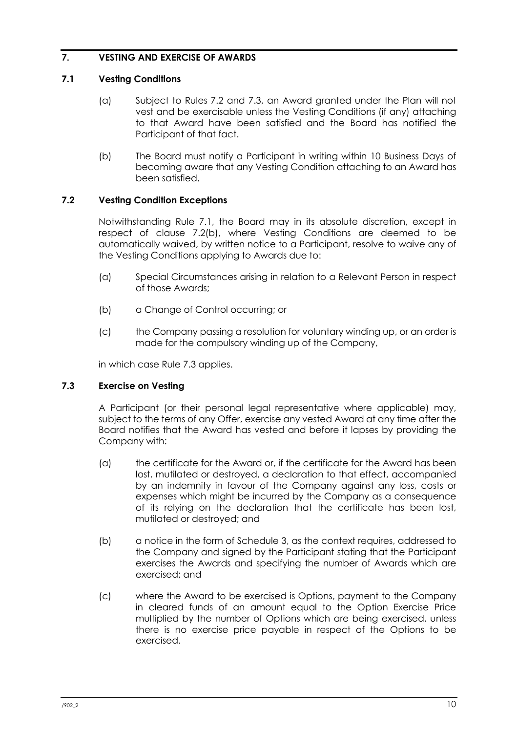## <span id="page-12-0"></span>**7. VESTING AND EXERCISE OF AWARDS**

#### <span id="page-12-1"></span>**7.1 Vesting Conditions**

- (a) Subject to Rules 7.2 and 7.3, an Award granted under the Plan will not vest and be exercisable unless the Vesting Conditions (if any) attaching to that Award have been satisfied and the Board has notified the Participant of that fact.
- (b) The Board must notify a Participant in writing within 10 Business Days of becoming aware that any Vesting Condition attaching to an Award has been satisfied.

## <span id="page-12-2"></span>**7.2 Vesting Condition Exceptions**

Notwithstanding Rule 7.1, the Board may in its absolute discretion, except in respect of clause 7.2(b), where Vesting Conditions are deemed to be automatically waived, by written notice to a Participant, resolve to waive any of the Vesting Conditions applying to Awards due to:

- (a) Special Circumstances arising in relation to a Relevant Person in respect of those Awards;
- (b) a Change of Control occurring; or
- (c) the Company passing a resolution for voluntary winding up, or an order is made for the compulsory winding up of the Company,

in which case Rule 7.3 applies.

## <span id="page-12-3"></span>**7.3 Exercise on Vesting**

A Participant (or their personal legal representative where applicable) may, subject to the terms of any Offer, exercise any vested Award at any time after the Board notifies that the Award has vested and before it lapses by providing the Company with:

- (a) the certificate for the Award or, if the certificate for the Award has been lost, mutilated or destroyed, a declaration to that effect, accompanied by an indemnity in favour of the Company against any loss, costs or expenses which might be incurred by the Company as a consequence of its relying on the declaration that the certificate has been lost, mutilated or destroyed; and
- (b) a notice in the form of Schedule 3, as the context requires, addressed to the Company and signed by the Participant stating that the Participant exercises the Awards and specifying the number of Awards which are exercised; and
- (c) where the Award to be exercised is Options, payment to the Company in cleared funds of an amount equal to the Option Exercise Price multiplied by the number of Options which are being exercised, unless there is no exercise price payable in respect of the Options to be exercised.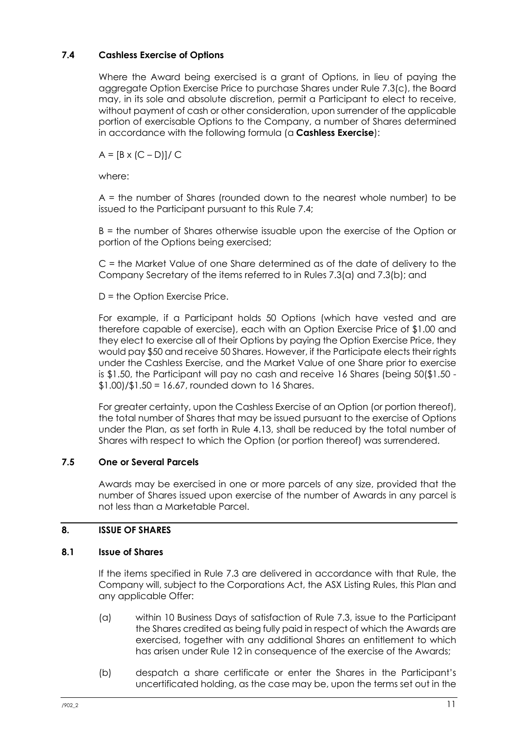## <span id="page-13-0"></span>**7.4 Cashless Exercise of Options**

Where the Award being exercised is a grant of Options, in lieu of paying the aggregate Option Exercise Price to purchase Shares under Rule 7.3(c), the Board may, in its sole and absolute discretion, permit a Participant to elect to receive, without payment of cash or other consideration, upon surrender of the applicable portion of exercisable Options to the Company, a number of Shares determined in accordance with the following formula (a **Cashless Exercise**):

 $A = [B \times (C - D)] / C$ 

where:

A = the number of Shares (rounded down to the nearest whole number) to be issued to the Participant pursuant to this Rule 7.4;

B = the number of Shares otherwise issuable upon the exercise of the Option or portion of the Options being exercised;

C = the Market Value of one Share determined as of the date of delivery to the Company Secretary of the items referred to in Rules 7.3(a) and 7.3(b); and

D = the Option Exercise Price.

For example, if a Participant holds 50 Options (which have vested and are therefore capable of exercise), each with an Option Exercise Price of \$1.00 and they elect to exercise all of their Options by paying the Option Exercise Price, they would pay \$50 and receive 50 Shares. However, if the Participate elects their rights under the Cashless Exercise, and the Market Value of one Share prior to exercise is \$1.50, the Participant will pay no cash and receive 16 Shares (being 50(\$1.50 -  $$1.00$ )/ $$1.50 = 16.67$ , rounded down to 16 Shares.

For greater certainty, upon the Cashless Exercise of an Option (or portion thereof), the total number of Shares that may be issued pursuant to the exercise of Options under the Plan, as set forth in Rule 4.13, shall be reduced by the total number of Shares with respect to which the Option (or portion thereof) was surrendered.

## <span id="page-13-1"></span>**7.5 One or Several Parcels**

Awards may be exercised in one or more parcels of any size, provided that the number of Shares issued upon exercise of the number of Awards in any parcel is not less than a Marketable Parcel.

## <span id="page-13-2"></span>**8. ISSUE OF SHARES**

## <span id="page-13-3"></span>**8.1 Issue of Shares**

If the items specified in Rule 7.3 are delivered in accordance with that Rule, the Company will, subject to the Corporations Act, the ASX Listing Rules, this Plan and any applicable Offer:

- (a) within 10 Business Days of satisfaction of Rule 7.3, issue to the Participant the Shares credited as being fully paid in respect of which the Awards are exercised, together with any additional Shares an entitlement to which has arisen under Rule 12 in consequence of the exercise of the Awards;
- (b) despatch a share certificate or enter the Shares in the Participant's uncertificated holding, as the case may be, upon the terms set out in the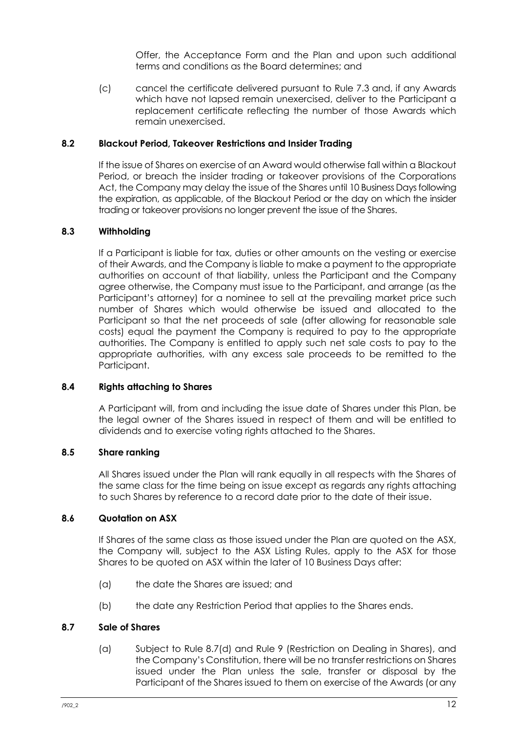Offer, the Acceptance Form and the Plan and upon such additional terms and conditions as the Board determines; and

(c) cancel the certificate delivered pursuant to Rule 7.3 and, if any Awards which have not lapsed remain unexercised, deliver to the Participant a replacement certificate reflecting the number of those Awards which remain unexercised.

#### <span id="page-14-0"></span>**8.2 Blackout Period, Takeover Restrictions and Insider Trading**

If the issue of Shares on exercise of an Award would otherwise fall within a Blackout Period, or breach the insider trading or takeover provisions of the Corporations Act, the Company may delay the issue of the Shares until 10 Business Daysfollowing the expiration, as applicable, of the Blackout Period or the day on which the insider trading or takeover provisions no longer prevent the issue of the Shares.

#### <span id="page-14-1"></span>**8.3 Withholding**

If a Participant is liable for tax, duties or other amounts on the vesting or exercise of their Awards, and the Company is liable to make a payment to the appropriate authorities on account of that liability, unless the Participant and the Company agree otherwise, the Company must issue to the Participant, and arrange (as the Participant's attorney) for a nominee to sell at the prevailing market price such number of Shares which would otherwise be issued and allocated to the Participant so that the net proceeds of sale (after allowing for reasonable sale costs) equal the payment the Company is required to pay to the appropriate authorities. The Company is entitled to apply such net sale costs to pay to the appropriate authorities, with any excess sale proceeds to be remitted to the Participant.

#### <span id="page-14-2"></span>**8.4 Rights attaching to Shares**

A Participant will, from and including the issue date of Shares under this Plan, be the legal owner of the Shares issued in respect of them and will be entitled to dividends and to exercise voting rights attached to the Shares.

#### <span id="page-14-3"></span>**8.5 Share ranking**

All Shares issued under the Plan will rank equally in all respects with the Shares of the same class for the time being on issue except as regards any rights attaching to such Shares by reference to a record date prior to the date of their issue.

#### <span id="page-14-4"></span>**8.6 Quotation on ASX**

If Shares of the same class as those issued under the Plan are quoted on the ASX, the Company will, subject to the ASX Listing Rules, apply to the ASX for those Shares to be quoted on ASX within the later of 10 Business Days after:

- (a) the date the Shares are issued; and
- (b) the date any Restriction Period that applies to the Shares ends.

#### <span id="page-14-5"></span>**8.7 Sale of Shares**

(a) Subject to Rule [8.7\(d\)](#page-15-6) and Rule 9 (Restriction on Dealing in Shares), and the Company's Constitution, there will be no transfer restrictions on Shares issued under the Plan unless the sale, transfer or disposal by the Participant of the Shares issued to them on exercise of the Awards (or any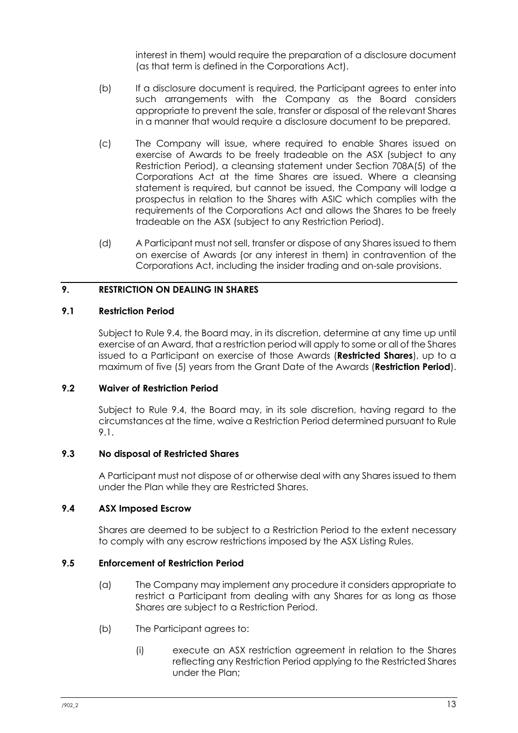interest in them) would require the preparation of a disclosure document (as that term is defined in the Corporations Act).

- (b) If a disclosure document is required, the Participant agrees to enter into such arrangements with the Company as the Board considers appropriate to prevent the sale, transfer or disposal of the relevant Shares in a manner that would require a disclosure document to be prepared.
- (c) The Company will issue, where required to enable Shares issued on exercise of Awards to be freely tradeable on the ASX (subject to any Restriction Period), a cleansing statement under Section 708A(5) of the Corporations Act at the time Shares are issued. Where a cleansing statement is required, but cannot be issued, the Company will lodge a prospectus in relation to the Shares with ASIC which complies with the requirements of the Corporations Act and allows the Shares to be freely tradeable on the ASX (subject to any Restriction Period).
- <span id="page-15-6"></span>(d) A Participant must not sell, transfer or dispose of any Shares issued to them on exercise of Awards (or any interest in them) in contravention of the Corporations Act, including the insider trading and on-sale provisions.

## <span id="page-15-0"></span>**9. RESTRICTION ON DEALING IN SHARES**

#### <span id="page-15-1"></span>**9.1 Restriction Period**

Subject to Rule 9.4, the Board may, in its discretion, determine at any time up until exercise of an Award, that a restriction period will apply to some or all of the Shares issued to a Participant on exercise of those Awards (**Restricted Shares**), up to a maximum of five (5) years from the Grant Date of the Awards (**Restriction Period**).

#### <span id="page-15-2"></span>**9.2 Waiver of Restriction Period**

Subject to Rule 9.4, the Board may, in its sole discretion, having regard to the circumstances at the time, waive a Restriction Period determined pursuant to Rule 9.1.

#### <span id="page-15-3"></span>**9.3 No disposal of Restricted Shares**

A Participant must not dispose of or otherwise deal with any Shares issued to them under the Plan while they are Restricted Shares.

## <span id="page-15-4"></span>**9.4 ASX Imposed Escrow**

Shares are deemed to be subject to a Restriction Period to the extent necessary to comply with any escrow restrictions imposed by the ASX Listing Rules.

## <span id="page-15-5"></span>**9.5 Enforcement of Restriction Period**

- (a) The Company may implement any procedure it considers appropriate to restrict a Participant from dealing with any Shares for as long as those Shares are subject to a Restriction Period.
- (b) The Participant agrees to:
	- (i) execute an ASX restriction agreement in relation to the Shares reflecting any Restriction Period applying to the Restricted Shares under the Plan;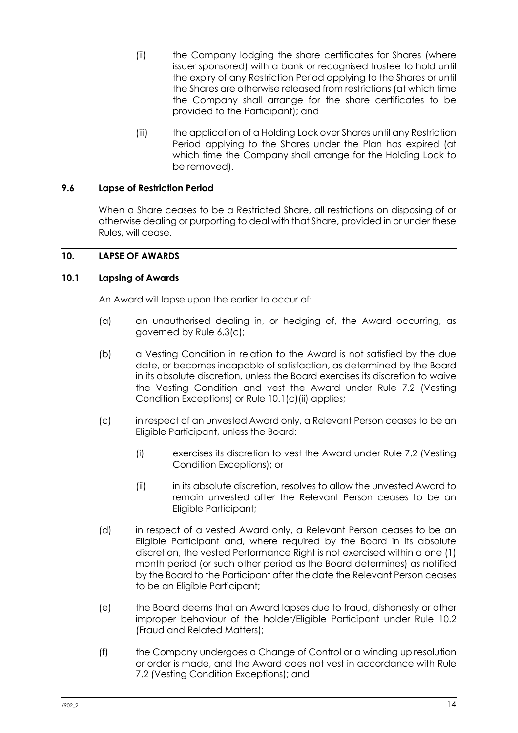- (ii) the Company lodging the share certificates for Shares (where issuer sponsored) with a bank or recognised trustee to hold until the expiry of any Restriction Period applying to the Shares or until the Shares are otherwise released from restrictions (at which time the Company shall arrange for the share certificates to be provided to the Participant); and
- (iii) the application of a Holding Lock over Shares until any Restriction Period applying to the Shares under the Plan has expired (at which time the Company shall arrange for the Holding Lock to be removed).

#### <span id="page-16-0"></span>**9.6 Lapse of Restriction Period**

When a Share ceases to be a Restricted Share, all restrictions on disposing of or otherwise dealing or purporting to deal with that Share, provided in or under these Rules, will cease.

#### <span id="page-16-1"></span>**10. LAPSE OF AWARDS**

#### <span id="page-16-2"></span>**10.1 Lapsing of Awards**

An Award will lapse upon the earlier to occur of:

- (a) an unauthorised dealing in, or hedging of, the Award occurring, as governed by Rule 6.3(c);
- (b) a Vesting Condition in relation to the Award is not satisfied by the due date, or becomes incapable of satisfaction, as determined by the Board in its absolute discretion, unless the Board exercises its discretion to waive the Vesting Condition and vest the Award under Rule 7.2 (Vesting Condition Exceptions) or Rule 10.1(c)(ii) applies;
- (c) in respect of an unvested Award only, a Relevant Person ceases to be an Eligible Participant, unless the Board:
	- (i) exercises its discretion to vest the Award under Rule 7.2 (Vesting Condition Exceptions); or
	- (ii) in its absolute discretion, resolves to allow the unvested Award to remain unvested after the Relevant Person ceases to be an Eligible Participant;
- (d) in respect of a vested Award only, a Relevant Person ceases to be an Eligible Participant and, where required by the Board in its absolute discretion, the vested Performance Right is not exercised within a one (1) month period (or such other period as the Board determines) as notified by the Board to the Participant after the date the Relevant Person ceases to be an Eligible Participant;
- (e) the Board deems that an Award lapses due to fraud, dishonesty or other improper behaviour of the holder/Eligible Participant under Rule 10.2 (Fraud and Related Matters);
- (f) the Company undergoes a Change of Control or a winding up resolution or order is made, and the Award does not vest in accordance with Rule 7.2 (Vesting Condition Exceptions); and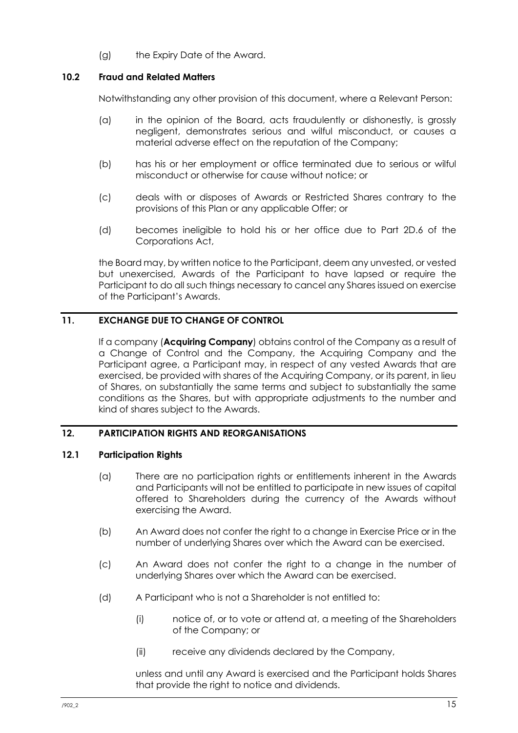(g) the Expiry Date of the Award.

#### <span id="page-17-0"></span>**10.2 Fraud and Related Matters**

Notwithstanding any other provision of this document, where a Relevant Person:

- (a) in the opinion of the Board, acts fraudulently or dishonestly, is grossly negligent, demonstrates serious and wilful misconduct, or causes a material adverse effect on the reputation of the Company;
- (b) has his or her employment or office terminated due to serious or wilful misconduct or otherwise for cause without notice; or
- (c) deals with or disposes of Awards or Restricted Shares contrary to the provisions of this Plan or any applicable Offer; or
- (d) becomes ineligible to hold his or her office due to Part 2D.6 of the Corporations Act,

the Board may, by written notice to the Participant, deem any unvested, or vested but unexercised, Awards of the Participant to have lapsed or require the Participant to do all such things necessary to cancel any Shares issued on exercise of the Participant's Awards.

# <span id="page-17-1"></span>**11. EXCHANGE DUE TO CHANGE OF CONTROL**

If a company (**Acquiring Company**) obtains control of the Company as a result of a Change of Control and the Company, the Acquiring Company and the Participant agree, a Participant may, in respect of any vested Awards that are exercised, be provided with shares of the Acquiring Company, or its parent, in lieu of Shares, on substantially the same terms and subject to substantially the same conditions as the Shares, but with appropriate adjustments to the number and kind of shares subject to the Awards.

#### <span id="page-17-2"></span>**12. PARTICIPATION RIGHTS AND REORGANISATIONS**

#### <span id="page-17-3"></span>**12.1 Participation Rights**

- (a) There are no participation rights or entitlements inherent in the Awards and Participants will not be entitled to participate in new issues of capital offered to Shareholders during the currency of the Awards without exercising the Award.
- (b) An Award does not confer the right to a change in Exercise Price or in the number of underlying Shares over which the Award can be exercised.
- (c) An Award does not confer the right to a change in the number of underlying Shares over which the Award can be exercised.
- (d) A Participant who is not a Shareholder is not entitled to:
	- (i) notice of, or to vote or attend at, a meeting of the Shareholders of the Company; or
	- (ii) receive any dividends declared by the Company,

unless and until any Award is exercised and the Participant holds Shares that provide the right to notice and dividends.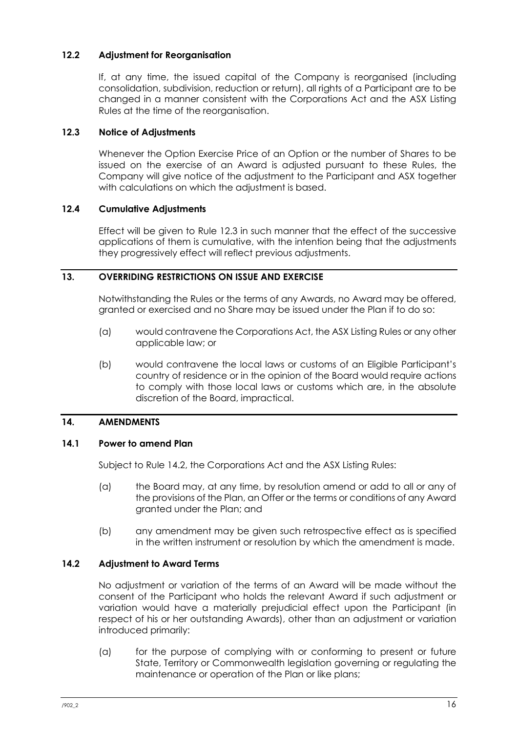#### <span id="page-18-0"></span>**12.2 Adjustment for Reorganisation**

If, at any time, the issued capital of the Company is reorganised (including consolidation, subdivision, reduction or return), all rights of a Participant are to be changed in a manner consistent with the Corporations Act and the ASX Listing Rules at the time of the reorganisation.

#### <span id="page-18-1"></span>**12.3 Notice of Adjustments**

Whenever the Option Exercise Price of an Option or the number of Shares to be issued on the exercise of an Award is adjusted pursuant to these Rules, the Company will give notice of the adjustment to the Participant and ASX together with calculations on which the adjustment is based.

#### <span id="page-18-2"></span>**12.4 Cumulative Adjustments**

Effect will be given to Rule 12.3 in such manner that the effect of the successive applications of them is cumulative, with the intention being that the adjustments they progressively effect will reflect previous adjustments.

#### <span id="page-18-3"></span>**13. OVERRIDING RESTRICTIONS ON ISSUE AND EXERCISE**

Notwithstanding the Rules or the terms of any Awards, no Award may be offered, granted or exercised and no Share may be issued under the Plan if to do so:

- (a) would contravene the Corporations Act, the ASX Listing Rules or any other applicable law; or
- (b) would contravene the local laws or customs of an Eligible Participant's country of residence or in the opinion of the Board would require actions to comply with those local laws or customs which are, in the absolute discretion of the Board, impractical.

#### <span id="page-18-4"></span>**14. AMENDMENTS**

## <span id="page-18-5"></span>**14.1 Power to amend Plan**

Subject to Rule 14.2, the Corporations Act and the ASX Listing Rules:

- (a) the Board may, at any time, by resolution amend or add to all or any of the provisions of the Plan, an Offer or the terms or conditions of any Award granted under the Plan; and
- (b) any amendment may be given such retrospective effect as is specified in the written instrument or resolution by which the amendment is made.

## <span id="page-18-6"></span>**14.2 Adjustment to Award Terms**

No adjustment or variation of the terms of an Award will be made without the consent of the Participant who holds the relevant Award if such adjustment or variation would have a materially prejudicial effect upon the Participant (in respect of his or her outstanding Awards), other than an adjustment or variation introduced primarily:

(a) for the purpose of complying with or conforming to present or future State, Territory or Commonwealth legislation governing or regulating the maintenance or operation of the Plan or like plans;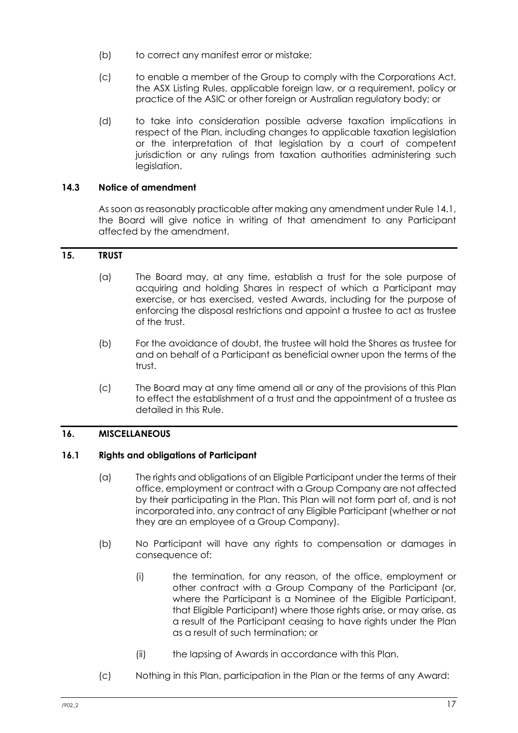- (b) to correct any manifest error or mistake;
- (c) to enable a member of the Group to comply with the Corporations Act, the ASX Listing Rules, applicable foreign law, or a requirement, policy or practice of the ASIC or other foreign or Australian regulatory body; or
- (d) to take into consideration possible adverse taxation implications in respect of the Plan, including changes to applicable taxation legislation or the interpretation of that legislation by a court of competent jurisdiction or any rulings from taxation authorities administering such legislation.

#### <span id="page-19-0"></span>**14.3 Notice of amendment**

As soon as reasonably practicable after making any amendment under Rule 14.1, the Board will give notice in writing of that amendment to any Participant affected by the amendment.

#### <span id="page-19-1"></span>**15. TRUST**

- (a) The Board may, at any time, establish a trust for the sole purpose of acquiring and holding Shares in respect of which a Participant may exercise, or has exercised, vested Awards, including for the purpose of enforcing the disposal restrictions and appoint a trustee to act as trustee of the trust.
- (b) For the avoidance of doubt, the trustee will hold the Shares as trustee for and on behalf of a Participant as beneficial owner upon the terms of the trust.
- (c) The Board may at any time amend all or any of the provisions of this Plan to effect the establishment of a trust and the appointment of a trustee as detailed in this Rule.

#### <span id="page-19-2"></span>**16. MISCELLANEOUS**

#### <span id="page-19-3"></span>**16.1 Rights and obligations of Participant**

- (a) The rights and obligations of an Eligible Participant under the terms of their office, employment or contract with a Group Company are not affected by their participating in the Plan. This Plan will not form part of, and is not incorporated into, any contract of any Eligible Participant (whether or not they are an employee of a Group Company).
- (b) No Participant will have any rights to compensation or damages in consequence of:
	- (i) the termination, for any reason, of the office, employment or other contract with a Group Company of the Participant (or, where the Participant is a Nominee of the Eligible Participant, that Eligible Participant) where those rights arise, or may arise, as a result of the Participant ceasing to have rights under the Plan as a result of such termination; or
	- (ii) the lapsing of Awards in accordance with this Plan.
- (c) Nothing in this Plan, participation in the Plan or the terms of any Award: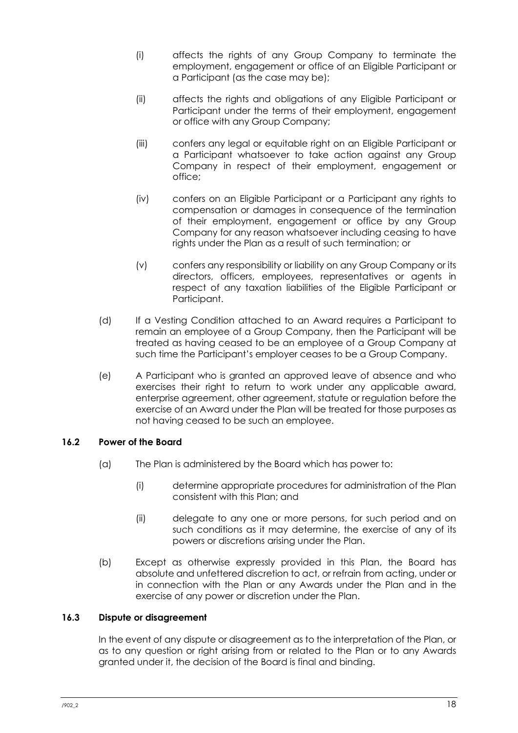- (i) affects the rights of any Group Company to terminate the employment, engagement or office of an Eligible Participant or a Participant (as the case may be);
- (ii) affects the rights and obligations of any Eligible Participant or Participant under the terms of their employment, engagement or office with any Group Company;
- (iii) confers any legal or equitable right on an Eligible Participant or a Participant whatsoever to take action against any Group Company in respect of their employment, engagement or office;
- (iv) confers on an Eligible Participant or a Participant any rights to compensation or damages in consequence of the termination of their employment, engagement or office by any Group Company for any reason whatsoever including ceasing to have rights under the Plan as a result of such termination; or
- (v) confers any responsibility or liability on any Group Company or its directors, officers, employees, representatives or agents in respect of any taxation liabilities of the Eligible Participant or Participant.
- (d) If a Vesting Condition attached to an Award requires a Participant to remain an employee of a Group Company, then the Participant will be treated as having ceased to be an employee of a Group Company at such time the Participant's employer ceases to be a Group Company.
- (e) A Participant who is granted an approved leave of absence and who exercises their right to return to work under any applicable award, enterprise agreement, other agreement, statute or regulation before the exercise of an Award under the Plan will be treated for those purposes as not having ceased to be such an employee.

## <span id="page-20-0"></span>**16.2 Power of the Board**

- (a) The Plan is administered by the Board which has power to:
	- (i) determine appropriate procedures for administration of the Plan consistent with this Plan; and
	- (ii) delegate to any one or more persons, for such period and on such conditions as it may determine, the exercise of any of its powers or discretions arising under the Plan.
- (b) Except as otherwise expressly provided in this Plan, the Board has absolute and unfettered discretion to act, or refrain from acting, under or in connection with the Plan or any Awards under the Plan and in the exercise of any power or discretion under the Plan.

## <span id="page-20-1"></span>**16.3 Dispute or disagreement**

In the event of any dispute or disagreement as to the interpretation of the Plan, or as to any question or right arising from or related to the Plan or to any Awards granted under it, the decision of the Board is final and binding.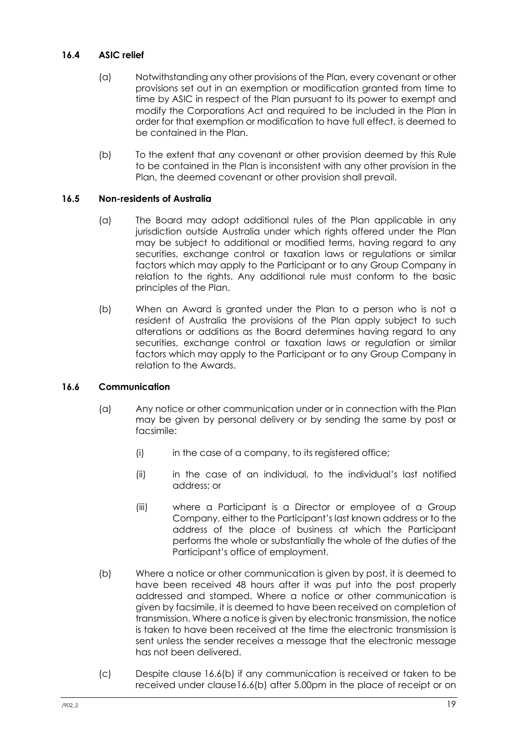#### <span id="page-21-0"></span>**16.4 ASIC relief**

- (a) Notwithstanding any other provisions of the Plan, every covenant or other provisions set out in an exemption or modification granted from time to time by ASIC in respect of the Plan pursuant to its power to exempt and modify the Corporations Act and required to be included in the Plan in order for that exemption or modification to have full effect, is deemed to be contained in the Plan.
- (b) To the extent that any covenant or other provision deemed by this Rule to be contained in the Plan is inconsistent with any other provision in the Plan, the deemed covenant or other provision shall prevail.

## <span id="page-21-1"></span>**16.5 Non-residents of Australia**

- (a) The Board may adopt additional rules of the Plan applicable in any jurisdiction outside Australia under which rights offered under the Plan may be subject to additional or modified terms, having regard to any securities, exchange control or taxation laws or regulations or similar factors which may apply to the Participant or to any Group Company in relation to the rights. Any additional rule must conform to the basic principles of the Plan.
- (b) When an Award is granted under the Plan to a person who is not a resident of Australia the provisions of the Plan apply subject to such alterations or additions as the Board determines having regard to any securities, exchange control or taxation laws or regulation or similar factors which may apply to the Participant or to any Group Company in relation to the Awards.

#### <span id="page-21-2"></span>**16.6 Communication**

- (a) Any notice or other communication under or in connection with the Plan may be given by personal delivery or by sending the same by post or facsimile:
	- (i) in the case of a company, to its registered office;
	- (ii) in the case of an individual, to the individual's last notified address; or
	- (iii) where a Participant is a Director or employee of a Group Company, either to the Participant's last known address or to the address of the place of business at which the Participant performs the whole or substantially the whole of the duties of the Participant's office of employment.
- <span id="page-21-3"></span>(b) Where a notice or other communication is given by post, it is deemed to have been received 48 hours after it was put into the post properly addressed and stamped. Where a notice or other communication is given by facsimile, it is deemed to have been received on completion of transmission. Where a notice is given by electronic transmission, the notice is taken to have been received at the time the electronic transmission is sent unless the sender receives a message that the electronic message has not been delivered.
- (c) Despite clause [16.6\(b\)](#page-21-3) if any communication is received or taken to be received under claus[e16.6\(b\)](#page-21-3) after 5.00pm in the place of receipt or on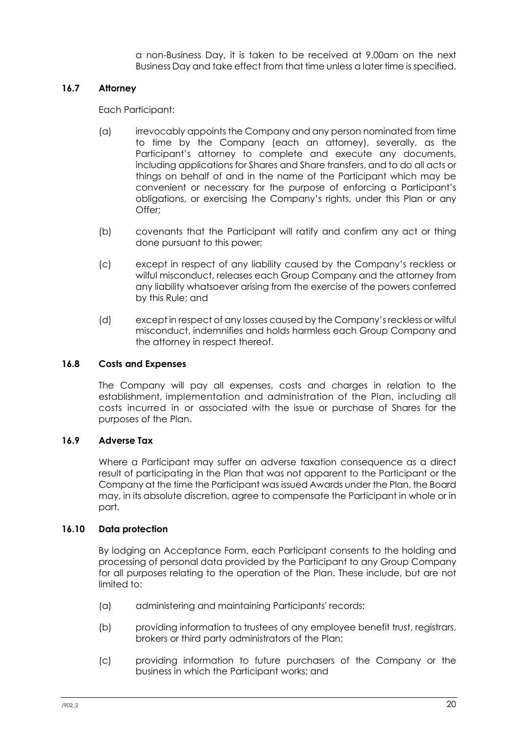a non-Business Day, it is taken to be received at 9.00am on the next Business Day and take effect from that time unless a later time is specified.

#### <span id="page-22-0"></span>**16.7 Attorney**

Each Participant:

- (a) irrevocably appoints the Company and any person nominated from time to time by the Company (each an attorney), severally, as the Participant's attorney to complete and execute any documents, including applications for Shares and Share transfers, and to do all acts or things on behalf of and in the name of the Participant which may be convenient or necessary for the purpose of enforcing a Participant's obligations, or exercising the Company's rights, under this Plan or any Offer;
- (b) covenants that the Participant will ratify and confirm any act or thing done pursuant to this power;
- (c) except in respect of any liability caused by the Company's reckless or wilful misconduct, releases each Group Company and the attorney from any liability whatsoever arising from the exercise of the powers conferred by this Rule; and
- (d) except in respect of any losses caused by the Company's reckless or wilful misconduct, indemnifies and holds harmless each Group Company and the attorney in respect thereof.

#### <span id="page-22-1"></span>**16.8 Costs and Expenses**

The Company will pay all expenses, costs and charges in relation to the establishment, implementation and administration of the Plan, including all costs incurred in or associated with the issue or purchase of Shares for the purposes of the Plan.

#### <span id="page-22-2"></span>**16.9 Adverse Tax**

Where a Participant may suffer an adverse taxation consequence as a direct result of participating in the Plan that was not apparent to the Participant or the Company at the time the Participant was issued Awards under the Plan, the Board may, in its absolute discretion, agree to compensate the Participant in whole or in part.

#### <span id="page-22-3"></span>**16.10 Data protection**

By lodging an Acceptance Form, each Participant consents to the holding and processing of personal data provided by the Participant to any Group Company for all purposes relating to the operation of the Plan. These include, but are not limited to:

- (a) administering and maintaining Participants' records;
- (b) providing information to trustees of any employee benefit trust, registrars, brokers or third party administrators of the Plan;
- (c) providing information to future purchasers of the Company or the business in which the Participant works; and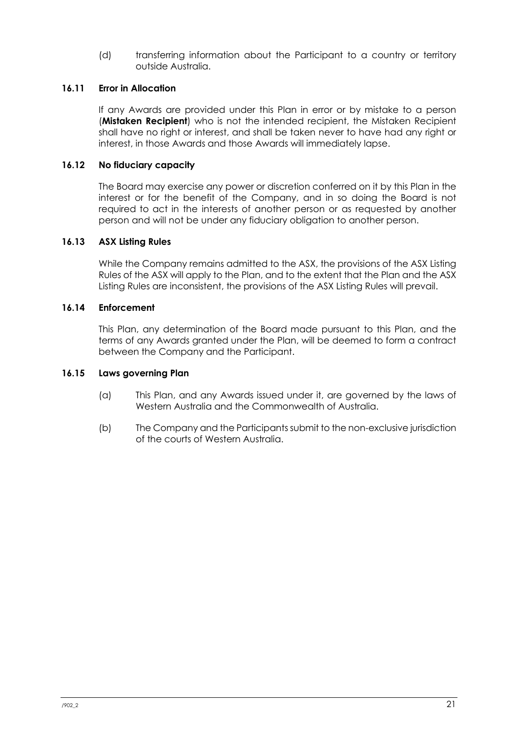(d) transferring information about the Participant to a country or territory outside Australia.

#### <span id="page-23-0"></span>**16.11 Error in Allocation**

If any Awards are provided under this Plan in error or by mistake to a person (**Mistaken Recipient**) who is not the intended recipient, the Mistaken Recipient shall have no right or interest, and shall be taken never to have had any right or interest, in those Awards and those Awards will immediately lapse.

#### <span id="page-23-1"></span>**16.12 No fiduciary capacity**

The Board may exercise any power or discretion conferred on it by this Plan in the interest or for the benefit of the Company, and in so doing the Board is not required to act in the interests of another person or as requested by another person and will not be under any fiduciary obligation to another person.

#### <span id="page-23-2"></span>**16.13 ASX Listing Rules**

While the Company remains admitted to the ASX, the provisions of the ASX Listing Rules of the ASX will apply to the Plan, and to the extent that the Plan and the ASX Listing Rules are inconsistent, the provisions of the ASX Listing Rules will prevail.

#### <span id="page-23-3"></span>**16.14 Enforcement**

This Plan, any determination of the Board made pursuant to this Plan, and the terms of any Awards granted under the Plan, will be deemed to form a contract between the Company and the Participant.

#### <span id="page-23-4"></span>**16.15 Laws governing Plan**

- (a) This Plan, and any Awards issued under it, are governed by the laws of Western Australia and the Commonwealth of Australia.
- (b) The Company and the Participants submit to the non-exclusive jurisdiction of the courts of Western Australia.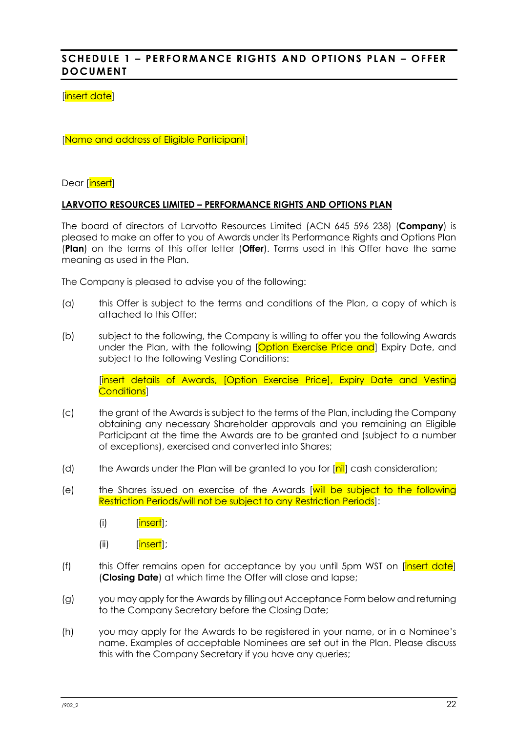# <span id="page-24-0"></span>**SCHEDULE 1 – PERFORMANCE RIGHTS AND OPTIONS PLAN – OFFER DOCUMENT**

#### [insert date]

[Name and address of Eligible Participant]

Dear [insert]

#### **LARVOTTO RESOURCES LIMITED – PERFORMANCE RIGHTS AND OPTIONS PLAN**

The board of directors of Larvotto Resources Limited (ACN 645 596 238) (**Company**) is pleased to make an offer to you of Awards under its Performance Rights and Options Plan (**Plan**) on the terms of this offer letter (**Offer**). Terms used in this Offer have the same meaning as used in the Plan.

The Company is pleased to advise you of the following:

- (a) this Offer is subject to the terms and conditions of the Plan, a copy of which is attached to this Offer;
- (b) subject to the following, the Company is willing to offer you the following Awards under the Plan, with the following [Option Exercise Price and] Expiry Date, and subject to the following Vesting Conditions:

[insert details of Awards, [Option Exercise Price], Expiry Date and Vesting Conditions]

- (c) the grant of the Awards is subject to the terms of the Plan, including the Company obtaining any necessary Shareholder approvals and you remaining an Eligible Participant at the time the Awards are to be granted and (subject to a number of exceptions), exercised and converted into Shares;
- (d) the Awards under the Plan will be granted to you for  $[nil]$  cash consideration;
- (e) the Shares issued on exercise of the Awards [will be subject to the following Restriction Periods/will not be subject to any Restriction Periods]:
	- (i) [insert];
	- (ii) [insert];
- (f) this Offer remains open for acceptance by you until 5pm WST on  $[insert date]$ (**Closing Date**) at which time the Offer will close and lapse;
- (g) you may apply for the Awards by filling out Acceptance Form below and returning to the Company Secretary before the Closing Date;
- (h) you may apply for the Awards to be registered in your name, or in a Nominee's name. Examples of acceptable Nominees are set out in the Plan. Please discuss this with the Company Secretary if you have any queries;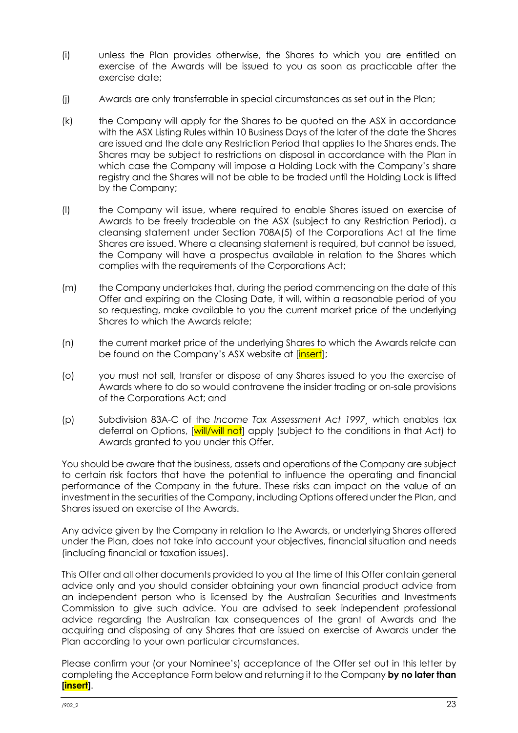- (i) unless the Plan provides otherwise, the Shares to which you are entitled on exercise of the Awards will be issued to you as soon as practicable after the exercise date;
- (j) Awards are only transferrable in special circumstances as set out in the Plan;
- (k) the Company will apply for the Shares to be quoted on the ASX in accordance with the ASX Listing Rules within 10 Business Days of the later of the date the Shares are issued and the date any Restriction Period that applies to the Shares ends. The Shares may be subject to restrictions on disposal in accordance with the Plan in which case the Company will impose a Holding Lock with the Company's share registry and the Shares will not be able to be traded until the Holding Lock is lifted by the Company;
- (l) the Company will issue, where required to enable Shares issued on exercise of Awards to be freely tradeable on the ASX (subject to any Restriction Period), a cleansing statement under Section 708A(5) of the Corporations Act at the time Shares are issued. Where a cleansing statement is required, but cannot be issued, the Company will have a prospectus available in relation to the Shares which complies with the requirements of the Corporations Act;
- (m) the Company undertakes that, during the period commencing on the date of this Offer and expiring on the Closing Date, it will, within a reasonable period of you so requesting, make available to you the current market price of the underlying Shares to which the Awards relate;
- (n) the current market price of the underlying Shares to which the Awards relate can be found on the Company's ASX website at [insert];
- (o) you must not sell, transfer or dispose of any Shares issued to you the exercise of Awards where to do so would contravene the insider trading or on-sale provisions of the Corporations Act; and
- (p) Subdivision 83A-C of the *Income Tax Assessment Act 1997¸* which enables tax deferral on Options, [will/will not] apply (subject to the conditions in that Act) to Awards granted to you under this Offer.

You should be aware that the business, assets and operations of the Company are subject to certain risk factors that have the potential to influence the operating and financial performance of the Company in the future. These risks can impact on the value of an investment in the securities of the Company, including Options offered under the Plan, and Shares issued on exercise of the Awards.

Any advice given by the Company in relation to the Awards, or underlying Shares offered under the Plan, does not take into account your objectives, financial situation and needs (including financial or taxation issues).

This Offer and all other documents provided to you at the time of this Offer contain general advice only and you should consider obtaining your own financial product advice from an independent person who is licensed by the Australian Securities and Investments Commission to give such advice. You are advised to seek independent professional advice regarding the Australian tax consequences of the grant of Awards and the acquiring and disposing of any Shares that are issued on exercise of Awards under the Plan according to your own particular circumstances.

Please confirm your (or your Nominee's) acceptance of the Offer set out in this letter by completing the Acceptance Form below and returning it to the Company **by no later than [insert]**.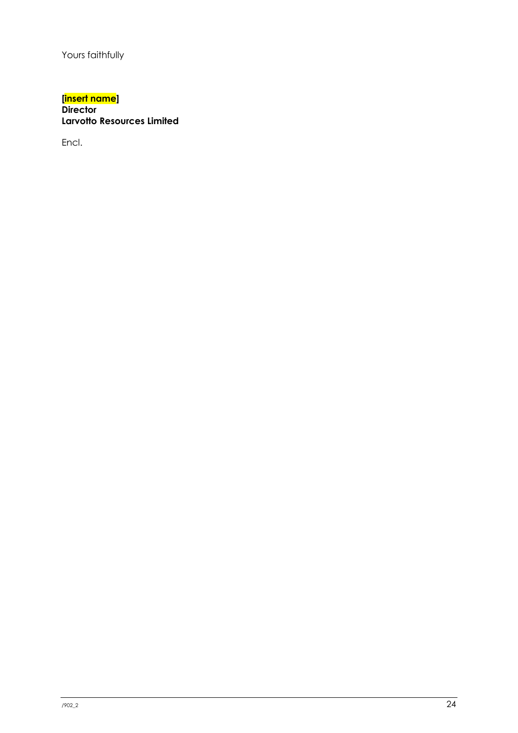Yours faithfully

#### **[insert name] Director Larvotto Resources Limited**

Encl.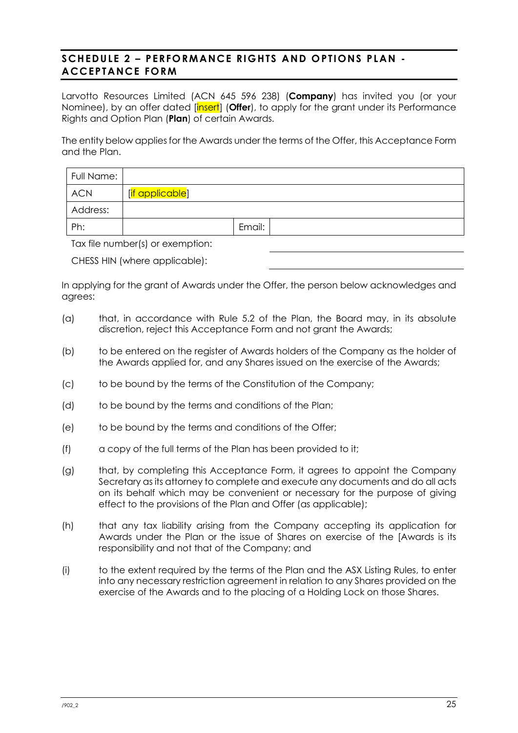# <span id="page-27-0"></span>**SCHEDULE 2 – PERFORMANCE RIGHTS AND OPTIONS PLAN - ACCEPTANCE FORM**

Larvotto Resources Limited (ACN 645 596 238) (**Company**) has invited you (or your Nominee), by an offer dated [insert] (**Offer**), to apply for the grant under its Performance Rights and Option Plan (**Plan**) of certain Awards.

The entity below applies for the Awards under the terms of the Offer, this Acceptance Form and the Plan.

| Full Name: |                                |        |  |
|------------|--------------------------------|--------|--|
| <b>ACN</b> | [ <mark>if applicable</mark> ] |        |  |
| Address:   |                                |        |  |
| Ph:        |                                | Email: |  |

Tax file number(s) or exemption:

CHESS HIN (where applicable):

In applying for the grant of Awards under the Offer, the person below acknowledges and agrees:

- (a) that, in accordance with Rule [5.2](#page-10-6) of the Plan, the Board may, in its absolute discretion, reject this Acceptance Form and not grant the Awards;
- (b) to be entered on the register of Awards holders of the Company as the holder of the Awards applied for, and any Shares issued on the exercise of the Awards;
- (c) to be bound by the terms of the Constitution of the Company;
- (d) to be bound by the terms and conditions of the Plan;
- (e) to be bound by the terms and conditions of the Offer;
- (f) a copy of the full terms of the Plan has been provided to it;
- (g) that, by completing this Acceptance Form, it agrees to appoint the Company Secretary as its attorney to complete and execute any documents and do all acts on its behalf which may be convenient or necessary for the purpose of giving effect to the provisions of the Plan and Offer (as applicable);
- (h) that any tax liability arising from the Company accepting its application for Awards under the Plan or the issue of Shares on exercise of the [Awards is its responsibility and not that of the Company; and
- (i) to the extent required by the terms of the Plan and the ASX Listing Rules, to enter into any necessary restriction agreement in relation to any Shares provided on the exercise of the Awards and to the placing of a Holding Lock on those Shares.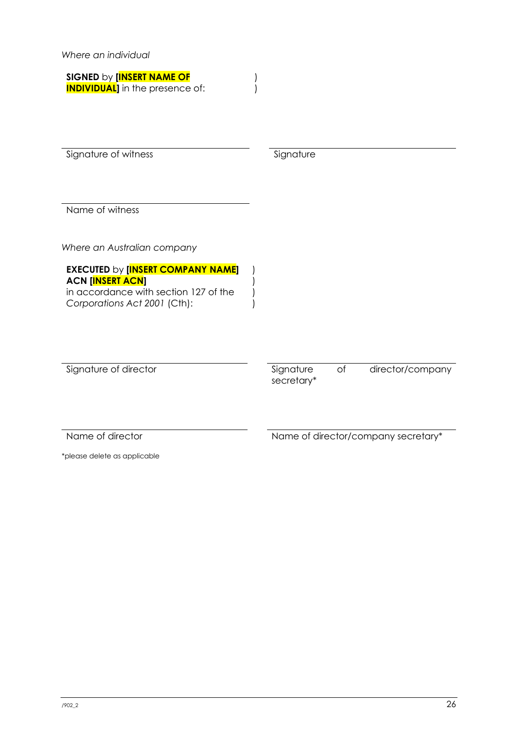*Where an individual*

| <b>SIGNED by [INSERT NAME OF</b>      |
|---------------------------------------|
| <b>INDIVIDUAL</b> in the presence of: |

Signature of witness Signature Signature

) )

) ) ) )

Name of witness

*Where an Australian company*

**EXECUTED** by **[INSERT COMPANY NAME] ACN [INSERT ACN]** in accordance with section 127 of the *Corporations Act 2001* (Cth):

Signature of director and signature of director/company

secretary\*

Name of director Name of director/company secretary\*

\*please delete as applicable